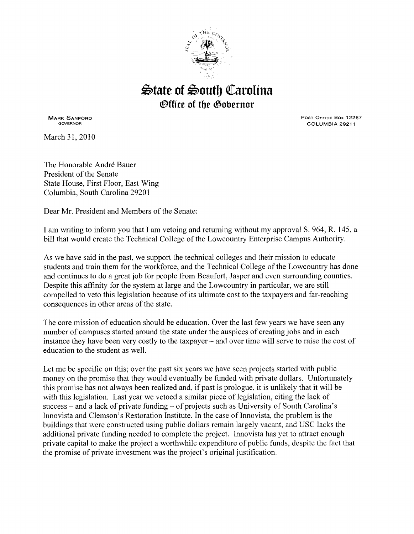

## $\triangle$ tate of  $\triangleq$ outh Carolina *<b>@ffice of the Gobernor*

MARK SANFORD GOVERNOR

March 31,2010

PosT OFFICE Box 12267 COLUMBIA 29211

The Honorable André Bauer President of the Senate State House, First Floor, East Wing Columbia, South Carolina 29201

Dear Mr. President and Members of the Senate:

I am writing to inform you that I am vetoing and returning without my approval S. 964, R. 145, a bill that would create the Technical College of the Lowcountry Enterprise Campus Authority.

As we have said in the past, we support the technical colleges and their mission to educate students and train them for the workforce, and the Technical College of the Lowcountry has done and continues to do a great job for people from Beaufort, Jasper and even surrounding counties. Despite this affinity for the system at large and the Lowcountry in particular, we are still compelled to veto this legislation because of its ultimate cost to the taxpayers and far-reaching consequences in other areas of the state.

The core mission of education should be education. Over the last few years we have seen any number of campuses started around the state under the auspices of creating jobs and in each instance they have been very costly to the taxpayer - and over time will serve to raise the cost of education to the student as well.

Let me be specific on this; over the past six years we have seen projects started with public money on the promise that they would eventually be funded with private dollars. Unfortunately this promise has not always been realized and, if past is prologue, it is unlikely that it will be with this legislation. Last year we vetoed a similar piece of legislation, citing the lack of success – and a lack of private funding – of projects such as University of South Carolina's Innovista and Clemson's Restoration Institute. In the case of Innovista, the problem is the buildings that were constructed using public dollars remain largely vacant, and USC lacks the additional private funding needed to complete the project. Innovista has yet to attract enough private capital to make the project a worthwhile expenditure of public funds, despite the fact that the promise of private investment was the project's original justification.